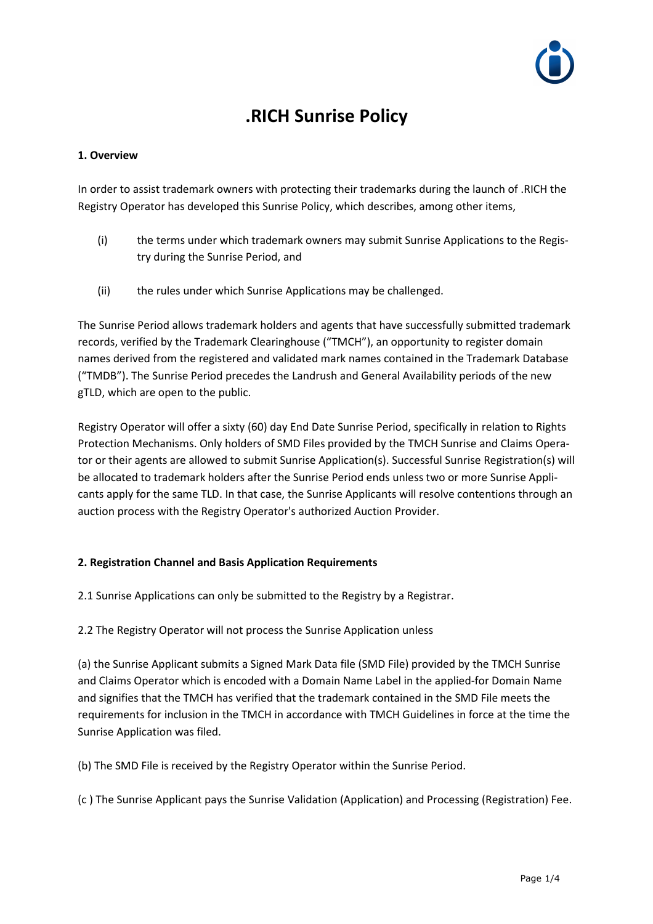

# **.RICH Sunrise Policy**

## **1. Overview**

In order to assist trademark owners with protecting their trademarks during the launch of .RICH the Registry Operator has developed this Sunrise Policy, which describes, among other items,

- (i) the terms under which trademark owners may submit Sunrise Applications to the Registry during the Sunrise Period, and
- (ii) the rules under which Sunrise Applications may be challenged.

The Sunrise Period allows trademark holders and agents that have successfully submitted trademark records, verified by the Trademark Clearinghouse ("TMCH"), an opportunity to register domain names derived from the registered and validated mark names contained in the Trademark Database ("TMDB"). The Sunrise Period precedes the Landrush and General Availability periods of the new gTLD, which are open to the public.

Registry Operator will offer a sixty (60) day End Date Sunrise Period, specifically in relation to Rights Protection Mechanisms. Only holders of SMD Files provided by the TMCH Sunrise and Claims Operator or their agents are allowed to submit Sunrise Application(s). Successful Sunrise Registration(s) will be allocated to trademark holders after the Sunrise Period ends unless two or more Sunrise Applicants apply for the same TLD. In that case, the Sunrise Applicants will resolve contentions through an auction process with the Registry Operator's authorized Auction Provider.

### **2. Registration Channel and Basis Application Requirements**

2.1 Sunrise Applications can only be submitted to the Registry by a Registrar.

2.2 The Registry Operator will not process the Sunrise Application unless

(a) the Sunrise Applicant submits a Signed Mark Data file (SMD File) provided by the TMCH Sunrise and Claims Operator which is encoded with a Domain Name Label in the applied-for Domain Name and signifies that the TMCH has verified that the trademark contained in the SMD File meets the requirements for inclusion in the TMCH in accordance with TMCH Guidelines in force at the time the Sunrise Application was filed.

(b) The SMD File is received by the Registry Operator within the Sunrise Period.

(c ) The Sunrise Applicant pays the Sunrise Validation (Application) and Processing (Registration) Fee.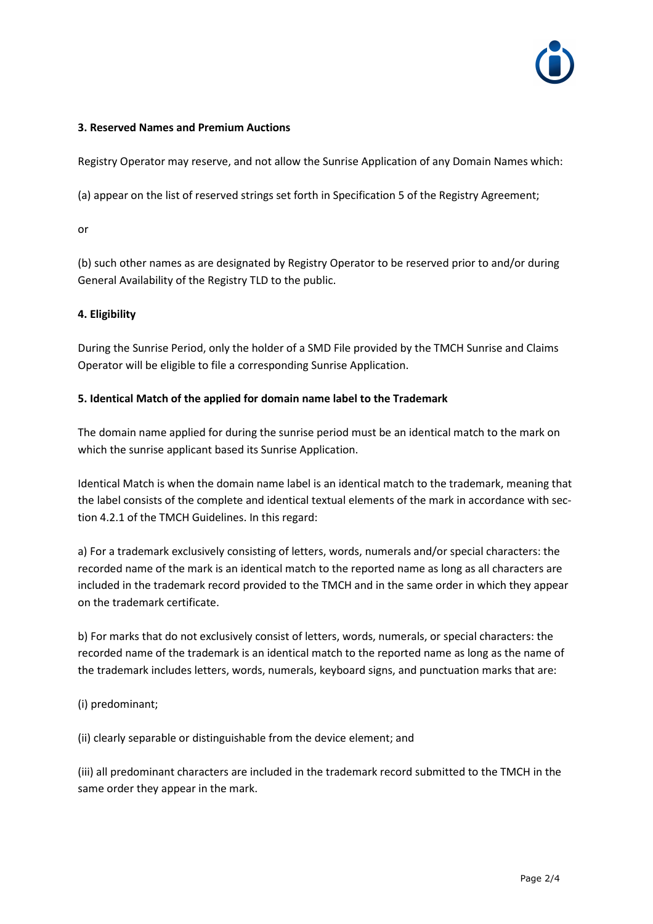

## **3. Reserved Names and Premium Auctions**

Registry Operator may reserve, and not allow the Sunrise Application of any Domain Names which:

(a) appear on the list of reserved strings set forth in Specification 5 of the Registry Agreement;

or

(b) such other names as are designated by Registry Operator to be reserved prior to and/or during General Availability of the Registry TLD to the public.

# **4. Eligibility**

During the Sunrise Period, only the holder of a SMD File provided by the TMCH Sunrise and Claims Operator will be eligible to file a corresponding Sunrise Application.

## **5. Identical Match of the applied for domain name label to the Trademark**

The domain name applied for during the sunrise period must be an identical match to the mark on which the sunrise applicant based its Sunrise Application.

Identical Match is when the domain name label is an identical match to the trademark, meaning that the label consists of the complete and identical textual elements of the mark in accordance with section 4.2.1 of the TMCH Guidelines. In this regard:

a) For a trademark exclusively consisting of letters, words, numerals and/or special characters: the recorded name of the mark is an identical match to the reported name as long as all characters are included in the trademark record provided to the TMCH and in the same order in which they appear on the trademark certificate.

b) For marks that do not exclusively consist of letters, words, numerals, or special characters: the recorded name of the trademark is an identical match to the reported name as long as the name of the trademark includes letters, words, numerals, keyboard signs, and punctuation marks that are:

(i) predominant;

(ii) clearly separable or distinguishable from the device element; and

(iii) all predominant characters are included in the trademark record submitted to the TMCH in the same order they appear in the mark.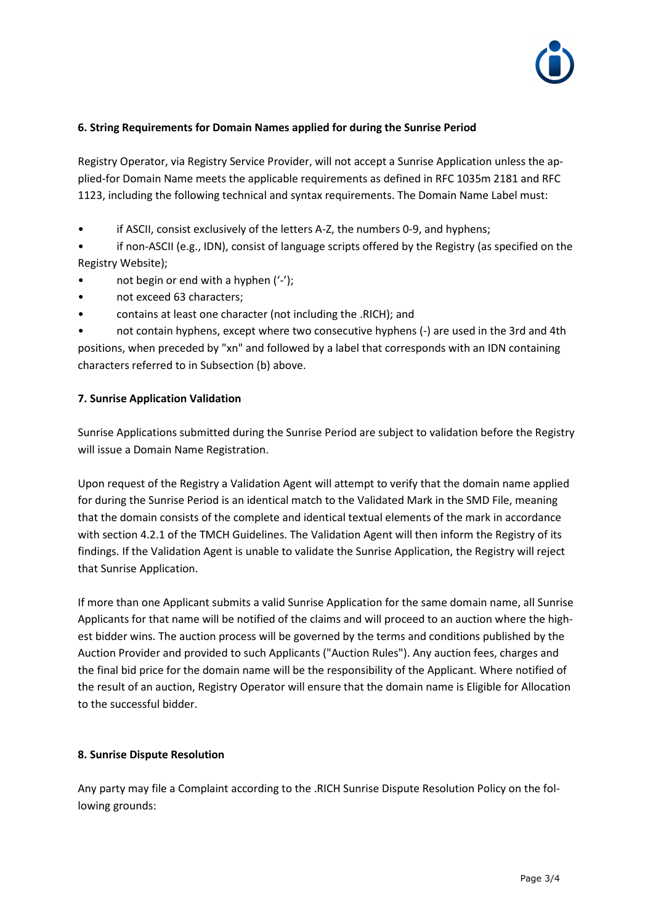

## **6. String Requirements for Domain Names applied for during the Sunrise Period**

Registry Operator, via Registry Service Provider, will not accept a Sunrise Application unless the applied-for Domain Name meets the applicable requirements as defined in RFC 1035m 2181 and RFC 1123, including the following technical and syntax requirements. The Domain Name Label must:

• if ASCII, consist exclusively of the letters A-Z, the numbers 0-9, and hyphens;

• if non-ASCII (e.g., IDN), consist of language scripts offered by the Registry (as specified on the Registry Website);

- not begin or end with a hyphen  $('')$ ;
- not exceed 63 characters;
- contains at least one character (not including the .RICH); and

• not contain hyphens, except where two consecutive hyphens (-) are used in the 3rd and 4th positions, when preceded by "xn" and followed by a label that corresponds with an IDN containing characters referred to in Subsection (b) above.

### **7. Sunrise Application Validation**

Sunrise Applications submitted during the Sunrise Period are subject to validation before the Registry will issue a Domain Name Registration.

Upon request of the Registry a Validation Agent will attempt to verify that the domain name applied for during the Sunrise Period is an identical match to the Validated Mark in the SMD File, meaning that the domain consists of the complete and identical textual elements of the mark in accordance with section 4.2.1 of the TMCH Guidelines. The Validation Agent will then inform the Registry of its findings. If the Validation Agent is unable to validate the Sunrise Application, the Registry will reject that Sunrise Application.

If more than one Applicant submits a valid Sunrise Application for the same domain name, all Sunrise Applicants for that name will be notified of the claims and will proceed to an auction where the highest bidder wins. The auction process will be governed by the terms and conditions published by the Auction Provider and provided to such Applicants ("Auction Rules"). Any auction fees, charges and the final bid price for the domain name will be the responsibility of the Applicant. Where notified of the result of an auction, Registry Operator will ensure that the domain name is Eligible for Allocation to the successful bidder.

### **8. Sunrise Dispute Resolution**

Any party may file a Complaint according to the .RICH Sunrise Dispute Resolution Policy on the following grounds: